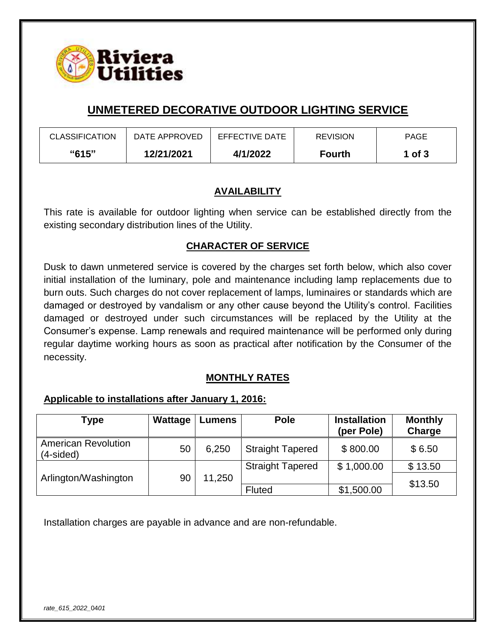

# **UNMETERED DECORATIVE OUTDOOR LIGHTING SERVICE**

| <b>CLASSIFICATION</b> | DATE APPROVED | EFFECTIVE DATE | <b>REVISION</b> | <b>PAGE</b> |
|-----------------------|---------------|----------------|-----------------|-------------|
| "615"                 | 12/21/2021    | 4/1/2022       | <b>Fourth</b>   | 1 of $3$    |

#### **AVAILABILITY**

This rate is available for outdoor lighting when service can be established directly from the existing secondary distribution lines of the Utility.

### **CHARACTER OF SERVICE**

Dusk to dawn unmetered service is covered by the charges set forth below, which also cover initial installation of the luminary, pole and maintenance including lamp replacements due to burn outs. Such charges do not cover replacement of lamps, luminaires or standards which are damaged or destroyed by vandalism or any other cause beyond the Utility's control. Facilities damaged or destroyed under such circumstances will be replaced by the Utility at the Consumer's expense. Lamp renewals and required maintenance will be performed only during regular daytime working hours as soon as practical after notification by the Consumer of the necessity.

# **MONTHLY RATES**

#### **Applicable to installations after January 1, 2016:**

| Type                                      | Wattage | <b>Lumens</b> | <b>Pole</b>             | <b>Installation</b><br>(per Pole) | <b>Monthly</b><br>Charge |
|-------------------------------------------|---------|---------------|-------------------------|-----------------------------------|--------------------------|
| <b>American Revolution</b><br>$(4-sided)$ | 50      | 6,250         | <b>Straight Tapered</b> | \$800.00                          | \$6.50                   |
|                                           |         |               | <b>Straight Tapered</b> | \$1,000.00                        | \$13.50                  |
| Arlington/Washington                      | 90      | 11,250        |                         |                                   | \$13.50                  |
|                                           |         |               | Fluted                  | \$1,500.00                        |                          |

Installation charges are payable in advance and are non-refundable.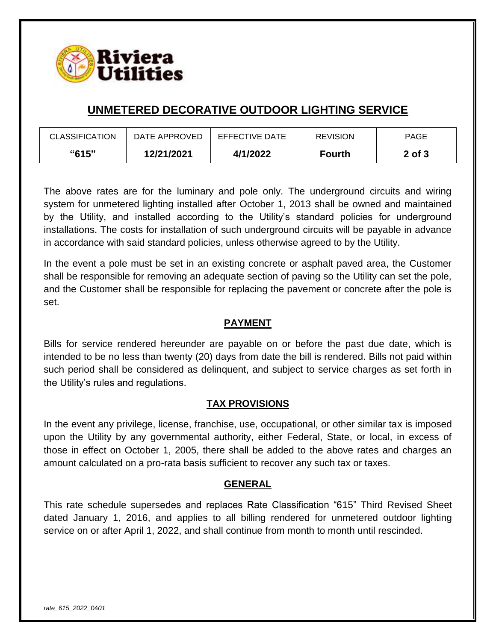

# **UNMETERED DECORATIVE OUTDOOR LIGHTING SERVICE**

| <b>CLASSIFICATION</b> | DATE APPROVED | EFFECTIVE DATE | <b>REVISION</b> | <b>PAGE</b> |
|-----------------------|---------------|----------------|-----------------|-------------|
| "615"                 | 12/21/2021    | 4/1/2022       | <b>Fourth</b>   | 2 of 3      |

The above rates are for the luminary and pole only. The underground circuits and wiring system for unmetered lighting installed after October 1, 2013 shall be owned and maintained by the Utility, and installed according to the Utility's standard policies for underground installations. The costs for installation of such underground circuits will be payable in advance in accordance with said standard policies, unless otherwise agreed to by the Utility.

In the event a pole must be set in an existing concrete or asphalt paved area, the Customer shall be responsible for removing an adequate section of paving so the Utility can set the pole, and the Customer shall be responsible for replacing the pavement or concrete after the pole is set.

## **PAYMENT**

Bills for service rendered hereunder are payable on or before the past due date, which is intended to be no less than twenty (20) days from date the bill is rendered. Bills not paid within such period shall be considered as delinquent, and subject to service charges as set forth in the Utility's rules and regulations.

#### **TAX PROVISIONS**

In the event any privilege, license, franchise, use, occupational, or other similar tax is imposed upon the Utility by any governmental authority, either Federal, State, or local, in excess of those in effect on October 1, 2005, there shall be added to the above rates and charges an amount calculated on a pro-rata basis sufficient to recover any such tax or taxes.

#### **GENERAL**

This rate schedule supersedes and replaces Rate Classification "615" Third Revised Sheet dated January 1, 2016, and applies to all billing rendered for unmetered outdoor lighting service on or after April 1, 2022, and shall continue from month to month until rescinded.